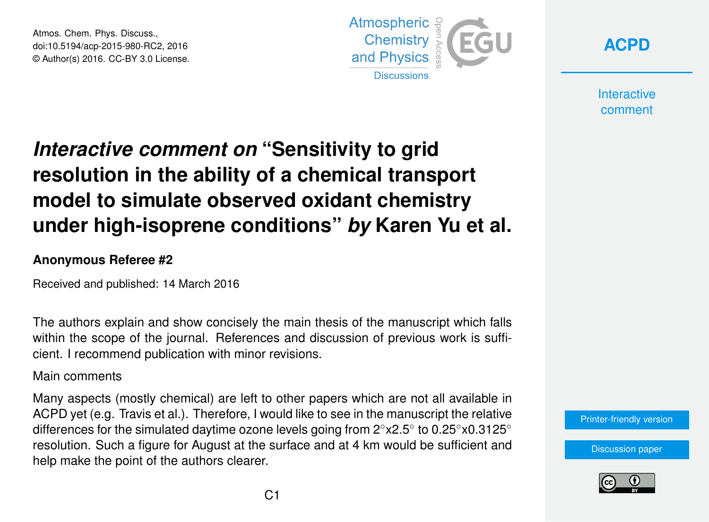Atmos. Chem. Phys. Discuss., doi:10.5194/acp-2015-980-RC2, 2016 © Author(s) 2016. CC-BY 3.0 License.



**[ACPD](http://www.atmos-chem-phys-discuss.net/)**

**Interactive** comment

## *Interactive comment on* **"Sensitivity to grid resolution in the ability of a chemical transport model to simulate observed oxidant chemistry under high-isoprene conditions"** *by* **Karen Yu et al.**

## **Anonymous Referee #2**

Received and published: 14 March 2016

The authors explain and show concisely the main thesis of the manuscript which falls within the scope of the journal. References and discussion of previous work is sufficient. I recommend publication with minor revisions.

## Main comments

Many aspects (mostly chemical) are left to other papers which are not all available in ACPD yet (e.g. Travis et al.). Therefore, I would like to see in the manuscript the relative differences for the simulated daytime ozone levels going from 2°x2.5° to 0.25°x0.3125° resolution. Such a figure for August at the surface and at 4 km would be sufficient and help make the point of the authors clearer.

[Printer-friendly version](http://www.atmos-chem-phys-discuss.net/acp-2015-980/acp-2015-980-RC2-print.pdf)

[Discussion paper](http://www.atmos-chem-phys-discuss.net/acp-2015-980)